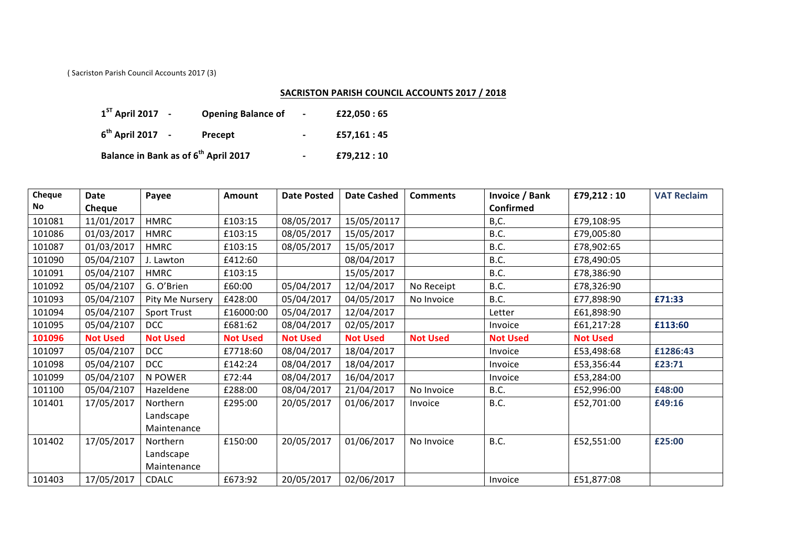(Sacriston Parish Council Accounts 2017 (3)

## **SACRISTON PARISH COUNCIL ACCOUNTS 2017 / 2018**

| $1^{ST}$ April 2017 -                            | <b>Opening Balance of</b> | $\sim$                   | £22,050 : 65 |
|--------------------------------------------------|---------------------------|--------------------------|--------------|
| $6^{th}$ April 2017 -                            | Precept                   | $\overline{\phantom{0}}$ | £57.161 : 45 |
| Balance in Bank as of 6 <sup>th</sup> April 2017 |                           | $\overline{\phantom{a}}$ | £79,212:10   |

| Cheque | Date            | Payee              | <b>Amount</b>   | <b>Date Posted</b> | <b>Date Cashed</b> | <b>Comments</b> | <b>Invoice / Bank</b> | £79,212:10      | <b>VAT Reclaim</b> |
|--------|-----------------|--------------------|-----------------|--------------------|--------------------|-----------------|-----------------------|-----------------|--------------------|
| No     | Cheque          |                    |                 |                    |                    |                 | <b>Confirmed</b>      |                 |                    |
| 101081 | 11/01/2017      | <b>HMRC</b>        | £103:15         | 08/05/2017         | 15/05/20117        |                 | B,C.                  | £79,108:95      |                    |
| 101086 | 01/03/2017      | <b>HMRC</b>        | £103:15         | 08/05/2017         | 15/05/2017         |                 | B.C.                  | £79,005:80      |                    |
| 101087 | 01/03/2017      | <b>HMRC</b>        | £103:15         | 08/05/2017         | 15/05/2017         |                 | B.C.                  | £78,902:65      |                    |
| 101090 | 05/04/2107      | J. Lawton          | £412:60         |                    | 08/04/2017         |                 | B.C.                  | £78,490:05      |                    |
| 101091 | 05/04/2107      | <b>HMRC</b>        | £103:15         |                    | 15/05/2017         |                 | B.C.                  | £78,386:90      |                    |
| 101092 | 05/04/2107      | G. O'Brien         | £60:00          | 05/04/2017         | 12/04/2017         | No Receipt      | B.C.                  | £78,326:90      |                    |
| 101093 | 05/04/2107      | Pity Me Nursery    | £428:00         | 05/04/2017         | 04/05/2017         | No Invoice      | B.C.                  | £77,898:90      | £71:33             |
| 101094 | 05/04/2107      | <b>Sport Trust</b> | £16000:00       | 05/04/2017         | 12/04/2017         |                 | Letter                | £61,898:90      |                    |
| 101095 | 05/04/2107      | <b>DCC</b>         | £681:62         | 08/04/2017         | 02/05/2017         |                 | Invoice               | £61,217:28      | £113:60            |
| 101096 | <b>Not Used</b> | <b>Not Used</b>    | <b>Not Used</b> | <b>Not Used</b>    | <b>Not Used</b>    | <b>Not Used</b> | <b>Not Used</b>       | <b>Not Used</b> |                    |
| 101097 | 05/04/2107      | <b>DCC</b>         | £7718:60        | 08/04/2017         | 18/04/2017         |                 | Invoice               | £53,498:68      | £1286:43           |
| 101098 | 05/04/2107      | <b>DCC</b>         | £142:24         | 08/04/2017         | 18/04/2017         |                 | Invoice               | £53,356:44      | £23:71             |
| 101099 | 05/04/2107      | N POWER            | £72:44          | 08/04/2017         | 16/04/2017         |                 | Invoice               | £53,284:00      |                    |
| 101100 | 05/04/2107      | Hazeldene          | £288:00         | 08/04/2017         | 21/04/2017         | No Invoice      | B.C.                  | £52,996:00      | £48:00             |
| 101401 | 17/05/2017      | Northern           | £295:00         | 20/05/2017         | 01/06/2017         | Invoice         | B.C.                  | £52,701:00      | £49:16             |
|        |                 | Landscape          |                 |                    |                    |                 |                       |                 |                    |
|        |                 | Maintenance        |                 |                    |                    |                 |                       |                 |                    |
| 101402 | 17/05/2017      | Northern           | £150:00         | 20/05/2017         | 01/06/2017         | No Invoice      | B.C.                  | £52,551:00      | £25:00             |
|        |                 | Landscape          |                 |                    |                    |                 |                       |                 |                    |
|        |                 | Maintenance        |                 |                    |                    |                 |                       |                 |                    |
| 101403 | 17/05/2017      | CDALC              | £673:92         | 20/05/2017         | 02/06/2017         |                 | Invoice               | £51,877:08      |                    |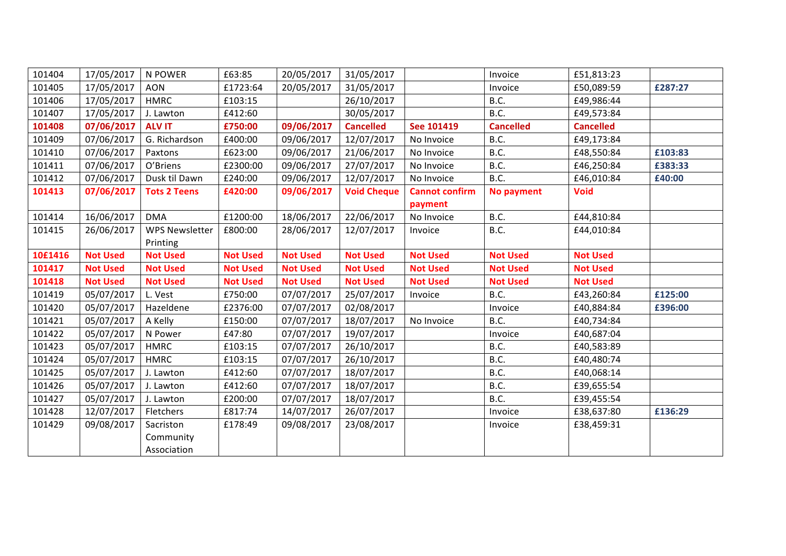| 101404  | 17/05/2017      | N POWER               | £63:85          | 20/05/2017      | 31/05/2017         |                       | Invoice          | £51,813:23       |         |
|---------|-----------------|-----------------------|-----------------|-----------------|--------------------|-----------------------|------------------|------------------|---------|
| 101405  | 17/05/2017      | <b>AON</b>            | £1723:64        | 20/05/2017      | 31/05/2017         |                       | Invoice          | £50,089:59       | £287:27 |
| 101406  | 17/05/2017      | <b>HMRC</b>           | £103:15         |                 | 26/10/2017         |                       | B.C.             | £49,986:44       |         |
| 101407  | 17/05/2017      | J. Lawton             | £412:60         |                 | 30/05/2017         |                       | B.C.             | £49,573:84       |         |
| 101408  | 07/06/2017      | <b>ALV IT</b>         | £750:00         | 09/06/2017      | <b>Cancelled</b>   | See 101419            | <b>Cancelled</b> | <b>Cancelled</b> |         |
| 101409  | 07/06/2017      | G. Richardson         | £400:00         | 09/06/2017      | 12/07/2017         | No Invoice            | B.C.             | £49,173:84       |         |
| 101410  | 07/06/2017      | Paxtons               | £623:00         | 09/06/2017      | 21/06/2017         | No Invoice            | B.C.             | £48,550:84       | £103:83 |
| 101411  | 07/06/2017      | O'Briens              | £2300:00        | 09/06/2017      | 27/07/2017         | No Invoice            | B.C.             | £46,250:84       | £383:33 |
| 101412  | 07/06/2017      | Dusk til Dawn         | £240:00         | 09/06/2017      | 12/07/2017         | No Invoice            | B.C.             | £46,010:84       | £40:00  |
| 101413  | 07/06/2017      | <b>Tots 2 Teens</b>   | £420:00         | 09/06/2017      | <b>Void Cheque</b> | <b>Cannot confirm</b> | No payment       | <b>Void</b>      |         |
|         |                 |                       |                 |                 |                    | payment               |                  |                  |         |
| 101414  | 16/06/2017      | <b>DMA</b>            | £1200:00        | 18/06/2017      | 22/06/2017         | No Invoice            | B.C.             | £44,810:84       |         |
| 101415  | 26/06/2017      | <b>WPS Newsletter</b> | £800:00         | 28/06/2017      | 12/07/2017         | Invoice               | B.C.             | £44,010:84       |         |
|         |                 | Printing              |                 |                 |                    |                       |                  |                  |         |
| 10£1416 | <b>Not Used</b> | <b>Not Used</b>       | <b>Not Used</b> | <b>Not Used</b> | <b>Not Used</b>    | <b>Not Used</b>       | <b>Not Used</b>  | <b>Not Used</b>  |         |
|         |                 |                       |                 |                 |                    |                       |                  |                  |         |
| 101417  | <b>Not Used</b> | <b>Not Used</b>       | <b>Not Used</b> | <b>Not Used</b> | <b>Not Used</b>    | <b>Not Used</b>       | <b>Not Used</b>  | <b>Not Used</b>  |         |
| 101418  | <b>Not Used</b> | <b>Not Used</b>       | <b>Not Used</b> | <b>Not Used</b> | <b>Not Used</b>    | <b>Not Used</b>       | <b>Not Used</b>  | <b>Not Used</b>  |         |
| 101419  | 05/07/2017      | L. Vest               | £750:00         | 07/07/2017      | 25/07/2017         | Invoice               | B.C.             | £43,260:84       | £125:00 |
| 101420  | 05/07/2017      | Hazeldene             | £2376:00        | 07/07/2017      | 02/08/2017         |                       | Invoice          | £40,884:84       | £396:00 |
| 101421  | 05/07/2017      | A Kelly               | £150:00         | 07/07/2017      | 18/07/2017         | No Invoice            | B.C.             | £40,734:84       |         |
| 101422  | 05/07/2017      | N Power               | £47:80          | 07/07/2017      | 19/07/2017         |                       | Invoice          | £40,687:04       |         |
| 101423  | 05/07/2017      | <b>HMRC</b>           | £103:15         | 07/07/2017      | 26/10/2017         |                       | B.C.             | £40,583:89       |         |
| 101424  | 05/07/2017      | <b>HMRC</b>           | £103:15         | 07/07/2017      | 26/10/2017         |                       | B.C.             | £40,480:74       |         |
| 101425  | 05/07/2017      | J. Lawton             | £412:60         | 07/07/2017      | 18/07/2017         |                       | B.C.             | £40,068:14       |         |
| 101426  | 05/07/2017      | J. Lawton             | £412:60         | 07/07/2017      | 18/07/2017         |                       | B.C.             | £39,655:54       |         |
| 101427  | 05/07/2017      | J. Lawton             | £200:00         | 07/07/2017      | 18/07/2017         |                       | B.C.             | £39,455:54       |         |
| 101428  | 12/07/2017      | Fletchers             | £817:74         | 14/07/2017      | 26/07/2017         |                       | Invoice          | £38,637:80       | £136:29 |
| 101429  | 09/08/2017      | Sacriston             | £178:49         | 09/08/2017      | 23/08/2017         |                       | Invoice          | £38,459:31       |         |
|         |                 | Community             |                 |                 |                    |                       |                  |                  |         |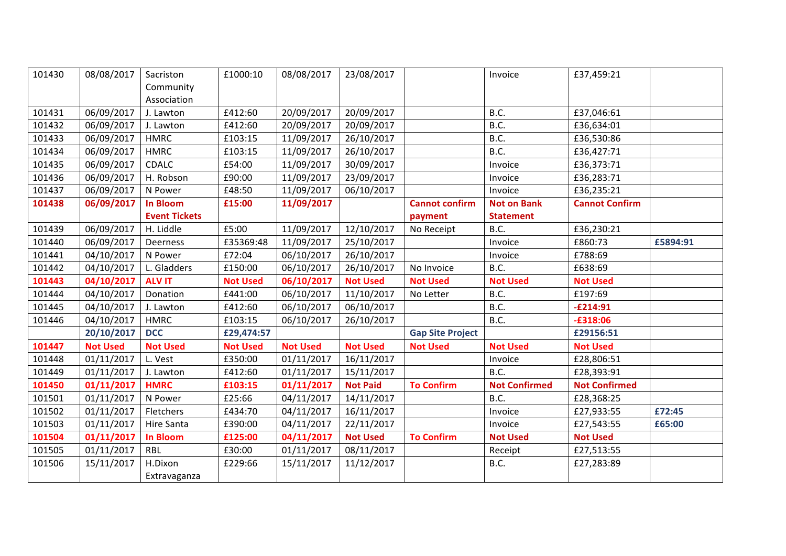| 101430 | 08/08/2017      | Sacriston            | £1000:10        | 08/08/2017      | 23/08/2017      |                         | Invoice              | £37,459:21            |          |
|--------|-----------------|----------------------|-----------------|-----------------|-----------------|-------------------------|----------------------|-----------------------|----------|
|        |                 | Community            |                 |                 |                 |                         |                      |                       |          |
|        |                 | Association          |                 |                 |                 |                         |                      |                       |          |
| 101431 | 06/09/2017      | J. Lawton            | £412:60         | 20/09/2017      | 20/09/2017      |                         | B.C.                 | £37,046:61            |          |
| 101432 | 06/09/2017      | J. Lawton            | £412:60         | 20/09/2017      | 20/09/2017      |                         | B.C.                 | £36,634:01            |          |
| 101433 | 06/09/2017      | <b>HMRC</b>          | £103:15         | 11/09/2017      | 26/10/2017      |                         | B.C.                 | £36,530:86            |          |
| 101434 | 06/09/2017      | <b>HMRC</b>          | £103:15         | 11/09/2017      | 26/10/2017      |                         | B.C.                 | £36,427:71            |          |
| 101435 | 06/09/2017      | CDALC                | £54:00          | 11/09/2017      | 30/09/2017      |                         | Invoice              | £36,373:71            |          |
| 101436 | 06/09/2017      | H. Robson            | £90:00          | 11/09/2017      | 23/09/2017      |                         | Invoice              | £36,283:71            |          |
| 101437 | 06/09/2017      | N Power              | £48:50          | 11/09/2017      | 06/10/2017      |                         | Invoice              | £36,235:21            |          |
| 101438 | 06/09/2017      | <b>In Bloom</b>      | £15:00          | 11/09/2017      |                 | <b>Cannot confirm</b>   | <b>Not on Bank</b>   | <b>Cannot Confirm</b> |          |
|        |                 | <b>Event Tickets</b> |                 |                 |                 | payment                 | <b>Statement</b>     |                       |          |
| 101439 | 06/09/2017      | H. Liddle            | £5:00           | 11/09/2017      | 12/10/2017      | No Receipt              | B.C.                 | £36,230:21            |          |
| 101440 | 06/09/2017      | Deerness             | £35369:48       | 11/09/2017      | 25/10/2017      |                         | Invoice              | £860:73               | £5894:91 |
| 101441 | 04/10/2017      | N Power              | £72:04          | 06/10/2017      | 26/10/2017      |                         | Invoice              | £788:69               |          |
| 101442 | 04/10/2017      | L. Gladders          | £150:00         | 06/10/2017      | 26/10/2017      | No Invoice              | B.C.                 | £638:69               |          |
| 101443 | 04/10/2017      | <b>ALV IT</b>        | <b>Not Used</b> | 06/10/2017      | <b>Not Used</b> | <b>Not Used</b>         | <b>Not Used</b>      | <b>Not Used</b>       |          |
| 101444 | 04/10/2017      | Donation             | £441:00         | 06/10/2017      | 11/10/2017      | No Letter               | B.C.                 | £197:69               |          |
| 101445 | 04/10/2017      | J. Lawton            | £412:60         | 06/10/2017      | 06/10/2017      |                         | B.C.                 | $-E214:91$            |          |
| 101446 | 04/10/2017      | <b>HMRC</b>          | £103:15         | 06/10/2017      | 26/10/2017      |                         | B.C.                 | $-£318:06$            |          |
|        | 20/10/2017      | <b>DCC</b>           | £29,474:57      |                 |                 | <b>Gap Site Project</b> |                      | £29156:51             |          |
| 101447 | <b>Not Used</b> | <b>Not Used</b>      | <b>Not Used</b> | <b>Not Used</b> | <b>Not Used</b> | <b>Not Used</b>         | <b>Not Used</b>      | <b>Not Used</b>       |          |
| 101448 | 01/11/2017      | L. Vest              | £350:00         | 01/11/2017      | 16/11/2017      |                         | Invoice              | £28,806:51            |          |
| 101449 | 01/11/2017      | J. Lawton            | £412:60         | 01/11/2017      | 15/11/2017      |                         | B.C.                 | £28,393:91            |          |
| 101450 | 01/11/2017      | <b>HMRC</b>          | £103:15         | 01/11/2017      | <b>Not Paid</b> | <b>To Confirm</b>       | <b>Not Confirmed</b> | <b>Not Confirmed</b>  |          |
| 101501 | 01/11/2017      | N Power              | £25:66          | 04/11/2017      | 14/11/2017      |                         | B.C.                 | £28,368:25            |          |
| 101502 | 01/11/2017      | Fletchers            | £434:70         | 04/11/2017      | 16/11/2017      |                         | Invoice              | £27,933:55            | £72:45   |
| 101503 | 01/11/2017      | Hire Santa           | £390:00         | 04/11/2017      | 22/11/2017      |                         | Invoice              | £27,543:55            | £65:00   |
| 101504 | 01/11/2017      | <b>In Bloom</b>      | £125:00         | 04/11/2017      | <b>Not Used</b> | <b>To Confirm</b>       | <b>Not Used</b>      | <b>Not Used</b>       |          |
| 101505 | 01/11/2017      | <b>RBL</b>           | £30:00          | 01/11/2017      | 08/11/2017      |                         | Receipt              | £27,513:55            |          |
| 101506 | 15/11/2017      | H.Dixon              | £229:66         | 15/11/2017      | 11/12/2017      |                         | B.C.                 | £27,283:89            |          |
|        |                 | Extravaganza         |                 |                 |                 |                         |                      |                       |          |